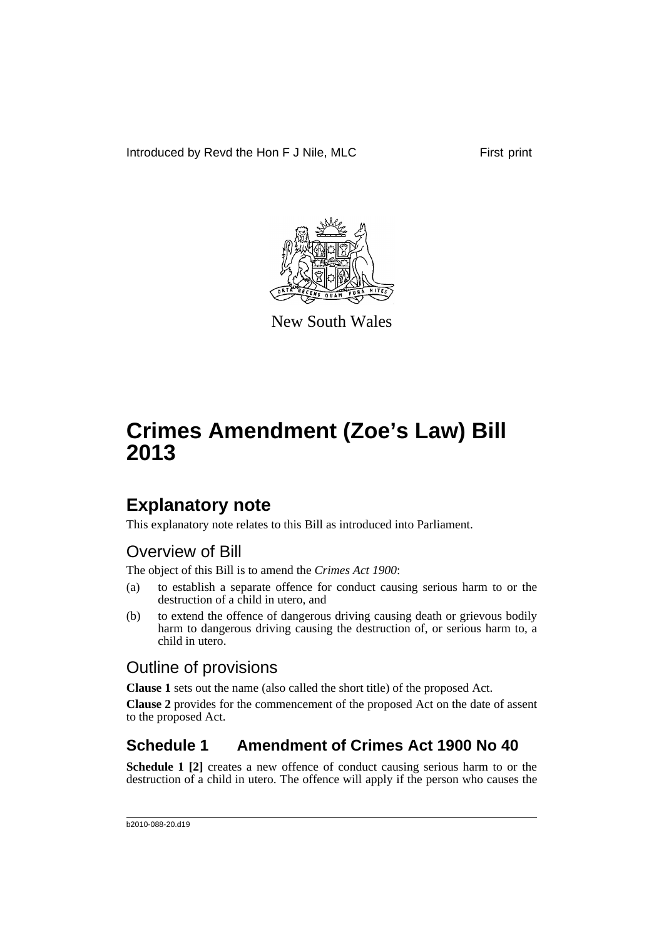Introduced by Revd the Hon F J Nile, MLC First print



New South Wales

# **Crimes Amendment (Zoe's Law) Bill 2013**

### **Explanatory note**

This explanatory note relates to this Bill as introduced into Parliament.

### Overview of Bill

The object of this Bill is to amend the *Crimes Act 1900*:

- (a) to establish a separate offence for conduct causing serious harm to or the destruction of a child in utero, and
- (b) to extend the offence of dangerous driving causing death or grievous bodily harm to dangerous driving causing the destruction of, or serious harm to, a child in utero.

### Outline of provisions

**Clause 1** sets out the name (also called the short title) of the proposed Act.

**Clause 2** provides for the commencement of the proposed Act on the date of assent to the proposed Act.

### **Schedule 1 Amendment of Crimes Act 1900 No 40**

**Schedule 1 [2]** creates a new offence of conduct causing serious harm to or the destruction of a child in utero. The offence will apply if the person who causes the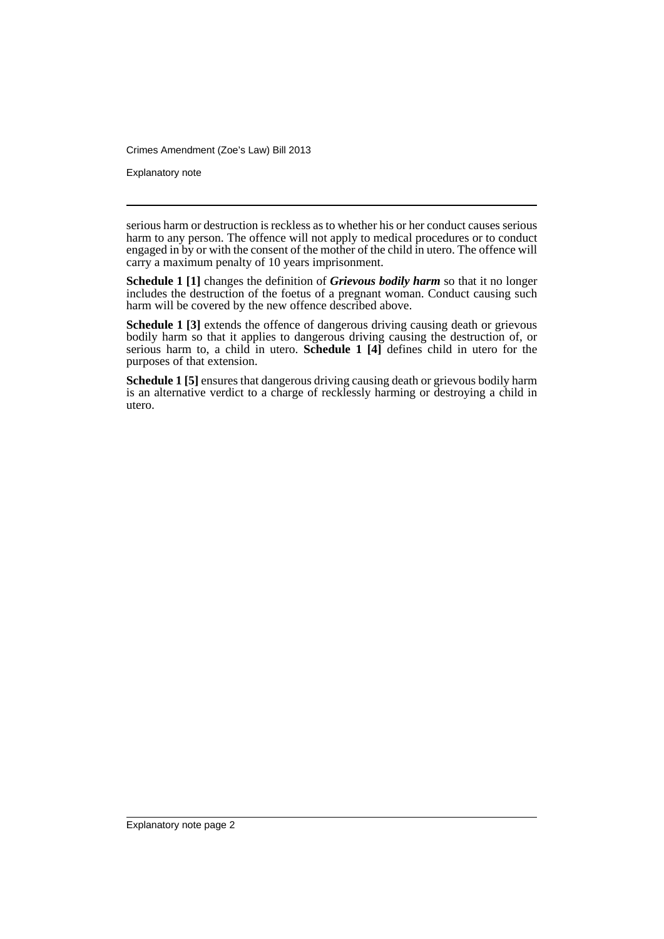Crimes Amendment (Zoe's Law) Bill 2013

Explanatory note

serious harm or destruction is reckless as to whether his or her conduct causes serious harm to any person. The offence will not apply to medical procedures or to conduct engaged in by or with the consent of the mother of the child in utero. The offence will carry a maximum penalty of 10 years imprisonment.

**Schedule 1 [1]** changes the definition of *Grievous bodily harm* so that it no longer includes the destruction of the foetus of a pregnant woman. Conduct causing such harm will be covered by the new offence described above.

**Schedule 1 [3]** extends the offence of dangerous driving causing death or grievous bodily harm so that it applies to dangerous driving causing the destruction of, or serious harm to, a child in utero. **Schedule 1 [4]** defines child in utero for the purposes of that extension.

**Schedule 1 [5]** ensures that dangerous driving causing death or grievous bodily harm is an alternative verdict to a charge of recklessly harming or destroying a child in utero.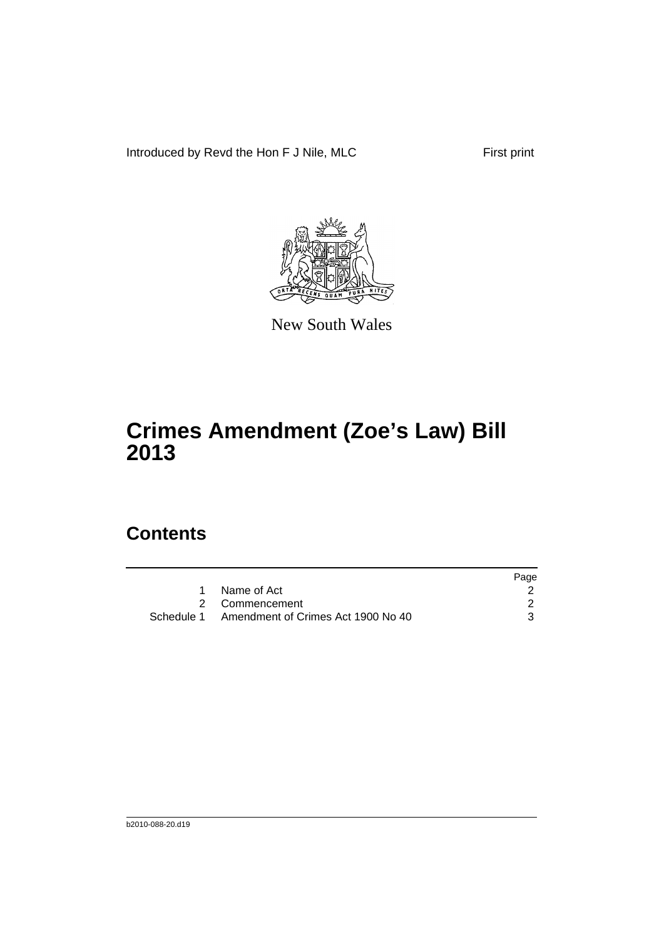Introduced by Revd the Hon F J Nile, MLC First print



New South Wales

# **Crimes Amendment (Zoe's Law) Bill 2013**

### **Contents**

|                                               | Page |
|-----------------------------------------------|------|
| Name of Act                                   |      |
| 2 Commencement                                |      |
| Schedule 1 Amendment of Crimes Act 1900 No 40 |      |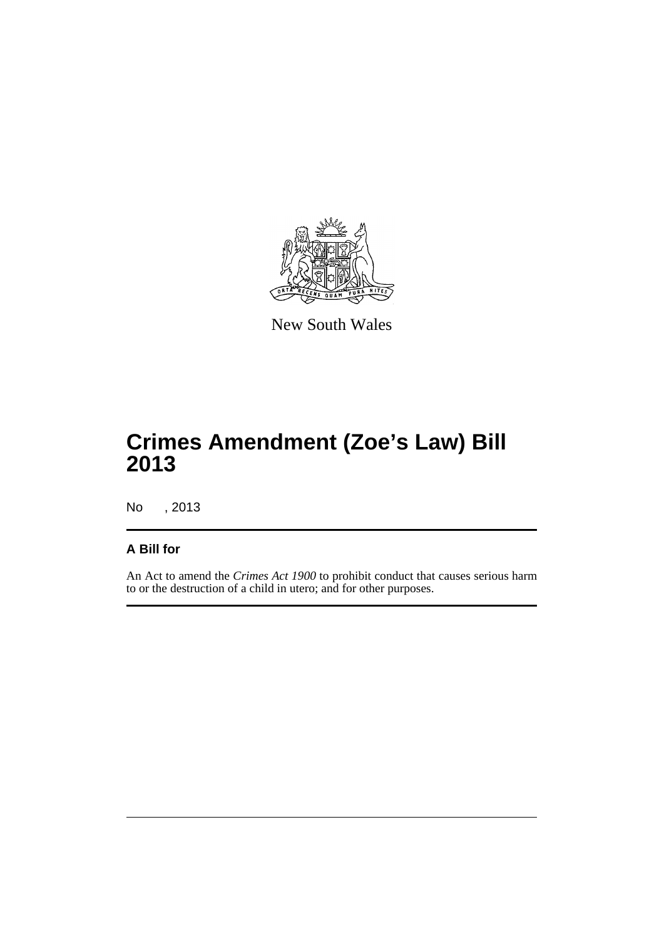

New South Wales

# **Crimes Amendment (Zoe's Law) Bill 2013**

No , 2013

#### **A Bill for**

An Act to amend the *Crimes Act 1900* to prohibit conduct that causes serious harm to or the destruction of a child in utero; and for other purposes.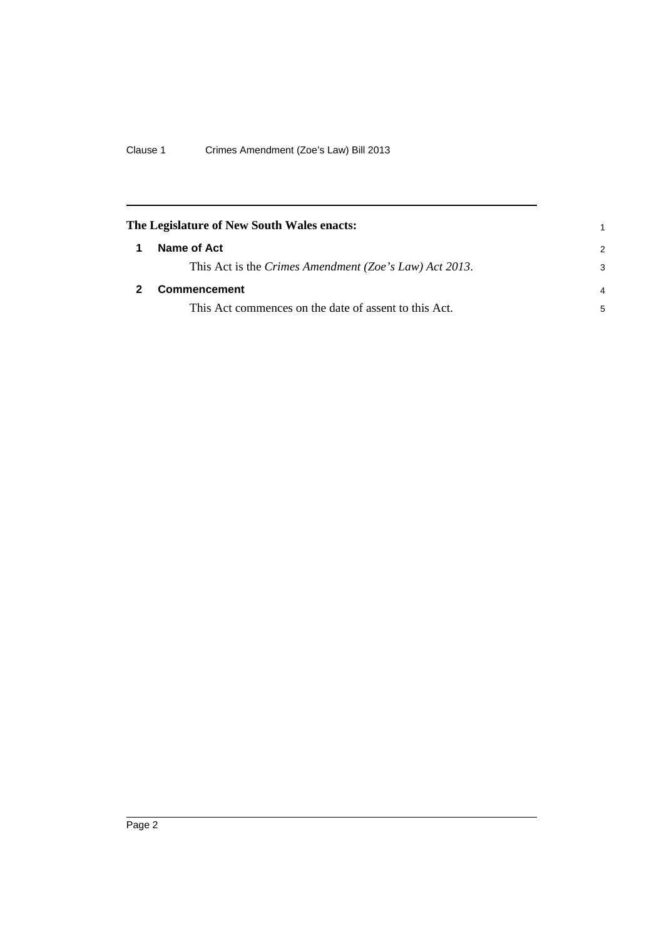<span id="page-5-1"></span><span id="page-5-0"></span>

| The Legislature of New South Wales enacts: |                                                        |                |
|--------------------------------------------|--------------------------------------------------------|----------------|
| 1                                          | Name of Act                                            | 2              |
|                                            | This Act is the Crimes Amendment (Zoe's Law) Act 2013. | 3              |
|                                            | <b>Commencement</b>                                    | $\overline{4}$ |
|                                            | This Act commences on the date of assent to this Act.  | 5              |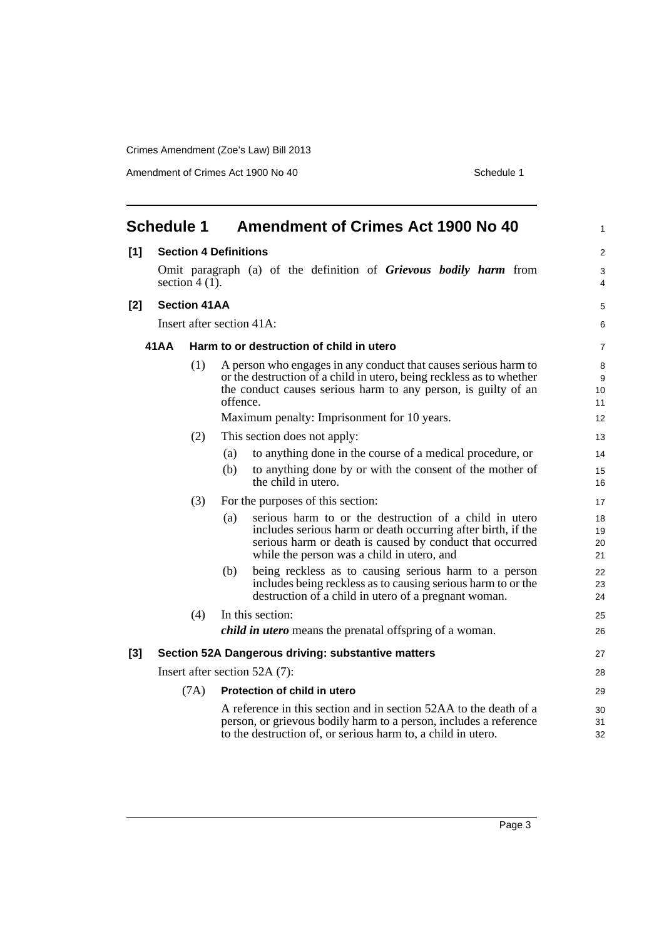Crimes Amendment (Zoe's Law) Bill 2013

Amendment of Crimes Act 1900 No 40 Schedule 1

<span id="page-6-0"></span>

| <b>Schedule 1</b>       |                                                    |                     | <b>Amendment of Crimes Act 1900 No 40</b> | 1                                                                                                                                                                                                                                                        |                          |
|-------------------------|----------------------------------------------------|---------------------|-------------------------------------------|----------------------------------------------------------------------------------------------------------------------------------------------------------------------------------------------------------------------------------------------------------|--------------------------|
| [1]                     |                                                    |                     | <b>Section 4 Definitions</b>              |                                                                                                                                                                                                                                                          | $\overline{2}$           |
|                         |                                                    | section 4 $(1)$ .   |                                           | Omit paragraph (a) of the definition of Grievous bodily harm from                                                                                                                                                                                        | 3<br>4                   |
| $[2]$                   |                                                    | <b>Section 41AA</b> |                                           |                                                                                                                                                                                                                                                          | 5                        |
|                         | Insert after section 41A:                          |                     |                                           |                                                                                                                                                                                                                                                          |                          |
|                         | 41 A A<br>Harm to or destruction of child in utero |                     |                                           |                                                                                                                                                                                                                                                          |                          |
|                         |                                                    | (1)                 | offence.                                  | A person who engages in any conduct that causes serious harm to<br>or the destruction of a child in utero, being reckless as to whether<br>the conduct causes serious harm to any person, is guilty of an<br>Maximum penalty: Imprisonment for 10 years. | 8<br>9<br>10<br>11<br>12 |
|                         |                                                    | (2)                 |                                           | This section does not apply:                                                                                                                                                                                                                             | 13                       |
|                         |                                                    |                     | (a)                                       | to anything done in the course of a medical procedure, or                                                                                                                                                                                                | 14                       |
|                         |                                                    |                     | (b)                                       | to anything done by or with the consent of the mother of<br>the child in utero.                                                                                                                                                                          | 15<br>16                 |
|                         | (3)<br>For the purposes of this section:           |                     | 17                                        |                                                                                                                                                                                                                                                          |                          |
|                         |                                                    |                     | (a)                                       | serious harm to or the destruction of a child in utero<br>includes serious harm or death occurring after birth, if the<br>serious harm or death is caused by conduct that occurred<br>while the person was a child in utero, and                         | 18<br>19<br>20<br>21     |
|                         |                                                    |                     | (b)                                       | being reckless as to causing serious harm to a person<br>includes being reckless as to causing serious harm to or the<br>destruction of a child in utero of a pregnant woman.                                                                            | 22<br>23<br>24           |
| (4)<br>In this section: |                                                    |                     | 25                                        |                                                                                                                                                                                                                                                          |                          |
|                         |                                                    |                     |                                           | <i>child in utero</i> means the prenatal offspring of a woman.                                                                                                                                                                                           | 26                       |
| $[3]$                   |                                                    |                     |                                           | Section 52A Dangerous driving: substantive matters                                                                                                                                                                                                       | 27                       |
|                         | Insert after section 52A (7):                      |                     |                                           |                                                                                                                                                                                                                                                          | 28                       |
|                         |                                                    | (7A)                |                                           | Protection of child in utero                                                                                                                                                                                                                             | 29                       |
|                         |                                                    |                     |                                           | A reference in this section and in section 52AA to the death of a<br>person, or grievous bodily harm to a person, includes a reference<br>to the destruction of, or serious harm to, a child in utero.                                                   | 30<br>31<br>32           |